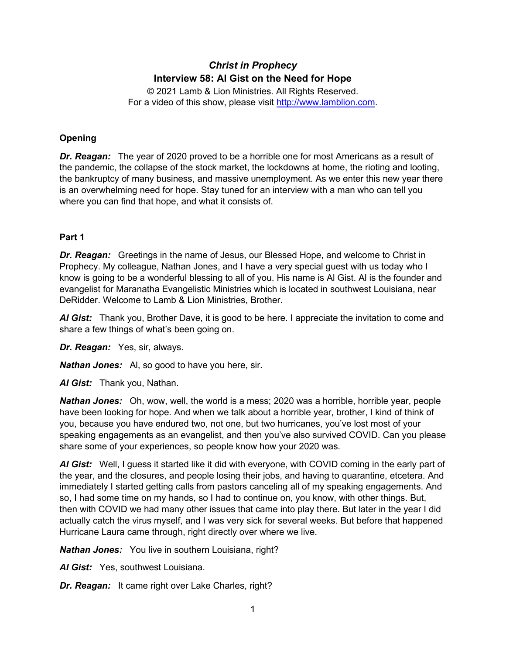# *Christ in Prophecy* **Interview 58: Al Gist on the Need for Hope**

© 2021 Lamb & Lion Ministries. All Rights Reserved. For a video of this show, please visit [http://www.lamblion.com.](http://www.lamblion.com/)

# **Opening**

*Dr. Reagan:* The year of 2020 proved to be a horrible one for most Americans as a result of the pandemic, the collapse of the stock market, the lockdowns at home, the rioting and looting, the bankruptcy of many business, and massive unemployment. As we enter this new year there is an overwhelming need for hope. Stay tuned for an interview with a man who can tell you where you can find that hope, and what it consists of.

# **Part 1**

*Dr. Reagan:* Greetings in the name of Jesus, our Blessed Hope, and welcome to Christ in Prophecy. My colleague, Nathan Jones, and I have a very special guest with us today who I know is going to be a wonderful blessing to all of you. His name is Al Gist. Al is the founder and evangelist for Maranatha Evangelistic Ministries which is located in southwest Louisiana, near DeRidder. Welcome to Lamb & Lion Ministries, Brother.

*Al Gist:* Thank you, Brother Dave, it is good to be here. I appreciate the invitation to come and share a few things of what's been going on.

*Dr. Reagan:* Yes, sir, always.

*Nathan Jones:* Al, so good to have you here, sir.

*Al Gist:* Thank you, Nathan.

*Nathan Jones:* Oh, wow, well, the world is a mess; 2020 was a horrible, horrible year, people have been looking for hope. And when we talk about a horrible year, brother, I kind of think of you, because you have endured two, not one, but two hurricanes, you've lost most of your speaking engagements as an evangelist, and then you've also survived COVID. Can you please share some of your experiences, so people know how your 2020 was.

*Al Gist:* Well, I guess it started like it did with everyone, with COVID coming in the early part of the year, and the closures, and people losing their jobs, and having to quarantine, etcetera. And immediately I started getting calls from pastors canceling all of my speaking engagements. And so, I had some time on my hands, so I had to continue on, you know, with other things. But, then with COVID we had many other issues that came into play there. But later in the year I did actually catch the virus myself, and I was very sick for several weeks. But before that happened Hurricane Laura came through, right directly over where we live.

*Nathan Jones:* You live in southern Louisiana, right?

*Al Gist:* Yes, southwest Louisiana.

*Dr. Reagan:* It came right over Lake Charles, right?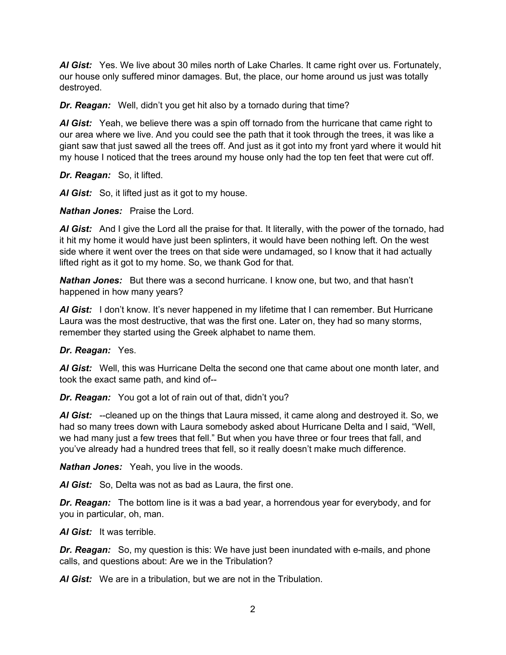*Al Gist:* Yes. We live about 30 miles north of Lake Charles. It came right over us. Fortunately, our house only suffered minor damages. But, the place, our home around us just was totally destroyed.

*Dr. Reagan:* Well, didn't you get hit also by a tornado during that time?

*Al Gist:* Yeah, we believe there was a spin off tornado from the hurricane that came right to our area where we live. And you could see the path that it took through the trees, it was like a giant saw that just sawed all the trees off. And just as it got into my front yard where it would hit my house I noticed that the trees around my house only had the top ten feet that were cut off.

*Dr. Reagan:* So, it lifted.

*Al Gist:* So, it lifted just as it got to my house.

*Nathan Jones:* Praise the Lord.

*Al Gist:* And I give the Lord all the praise for that. It literally, with the power of the tornado, had it hit my home it would have just been splinters, it would have been nothing left. On the west side where it went over the trees on that side were undamaged, so I know that it had actually lifted right as it got to my home. So, we thank God for that.

*Nathan Jones:* But there was a second hurricane. I know one, but two, and that hasn't happened in how many years?

AI Gist: I don't know. It's never happened in my lifetime that I can remember. But Hurricane Laura was the most destructive, that was the first one. Later on, they had so many storms, remember they started using the Greek alphabet to name them.

### *Dr. Reagan:* Yes.

*Al Gist:* Well, this was Hurricane Delta the second one that came about one month later, and took the exact same path, and kind of--

*Dr. Reagan:* You got a lot of rain out of that, didn't you?

*Al Gist:* --cleaned up on the things that Laura missed, it came along and destroyed it. So, we had so many trees down with Laura somebody asked about Hurricane Delta and I said, "Well, we had many just a few trees that fell." But when you have three or four trees that fall, and you've already had a hundred trees that fell, so it really doesn't make much difference.

*Nathan Jones:* Yeah, you live in the woods.

*Al Gist:* So, Delta was not as bad as Laura, the first one.

*Dr. Reagan:* The bottom line is it was a bad year, a horrendous year for everybody, and for you in particular, oh, man.

*Al Gist:* It was terrible.

*Dr. Reagan:* So, my question is this: We have just been inundated with e-mails, and phone calls, and questions about: Are we in the Tribulation?

*Al Gist:* We are in a tribulation, but we are not in the Tribulation.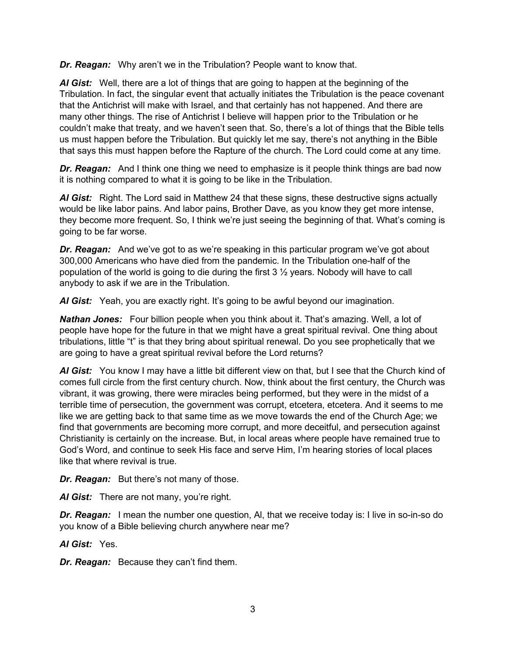*Dr. Reagan:* Why aren't we in the Tribulation? People want to know that.

*Al Gist:* Well, there are a lot of things that are going to happen at the beginning of the Tribulation. In fact, the singular event that actually initiates the Tribulation is the peace covenant that the Antichrist will make with Israel, and that certainly has not happened. And there are many other things. The rise of Antichrist I believe will happen prior to the Tribulation or he couldn't make that treaty, and we haven't seen that. So, there's a lot of things that the Bible tells us must happen before the Tribulation. But quickly let me say, there's not anything in the Bible that says this must happen before the Rapture of the church. The Lord could come at any time.

**Dr. Reagan:** And I think one thing we need to emphasize is it people think things are bad now it is nothing compared to what it is going to be like in the Tribulation.

*Al Gist:* Right. The Lord said in Matthew 24 that these signs, these destructive signs actually would be like labor pains. And labor pains, Brother Dave, as you know they get more intense, they become more frequent. So, I think we're just seeing the beginning of that. What's coming is going to be far worse.

*Dr. Reagan:* And we've got to as we're speaking in this particular program we've got about 300,000 Americans who have died from the pandemic. In the Tribulation one-half of the population of the world is going to die during the first 3 ½ years. Nobody will have to call anybody to ask if we are in the Tribulation.

*Al Gist:* Yeah, you are exactly right. It's going to be awful beyond our imagination.

*Nathan Jones:* Four billion people when you think about it. That's amazing. Well, a lot of people have hope for the future in that we might have a great spiritual revival. One thing about tribulations, little "t" is that they bring about spiritual renewal. Do you see prophetically that we are going to have a great spiritual revival before the Lord returns?

*Al Gist:* You know I may have a little bit different view on that, but I see that the Church kind of comes full circle from the first century church. Now, think about the first century, the Church was vibrant, it was growing, there were miracles being performed, but they were in the midst of a terrible time of persecution, the government was corrupt, etcetera, etcetera. And it seems to me like we are getting back to that same time as we move towards the end of the Church Age; we find that governments are becoming more corrupt, and more deceitful, and persecution against Christianity is certainly on the increase. But, in local areas where people have remained true to God's Word, and continue to seek His face and serve Him, I'm hearing stories of local places like that where revival is true.

*Dr. Reagan:* But there's not many of those.

*Al Gist:* There are not many, you're right.

*Dr. Reagan:* I mean the number one question, Al, that we receive today is: I live in so-in-so do you know of a Bible believing church anywhere near me?

*Al Gist:* Yes.

*Dr. Reagan:* Because they can't find them.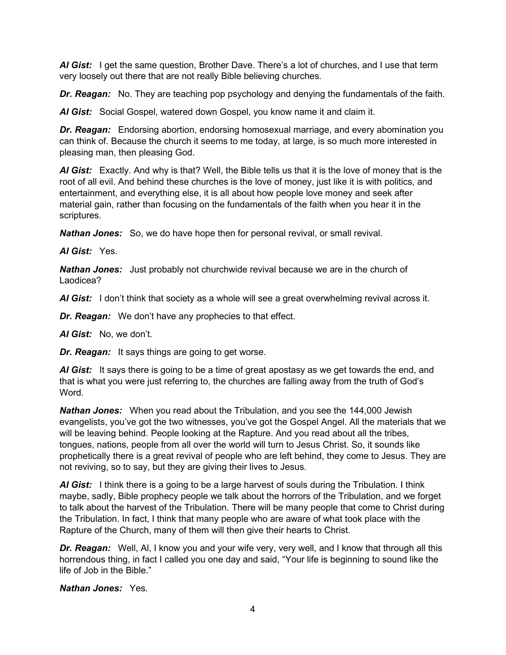*Al Gist:* I get the same question, Brother Dave. There's a lot of churches, and I use that term very loosely out there that are not really Bible believing churches.

*Dr. Reagan:* No. They are teaching pop psychology and denying the fundamentals of the faith.

*Al Gist:* Social Gospel, watered down Gospel, you know name it and claim it.

*Dr. Reagan:* Endorsing abortion, endorsing homosexual marriage, and every abomination you can think of. Because the church it seems to me today, at large, is so much more interested in pleasing man, then pleasing God.

*Al Gist:* Exactly. And why is that? Well, the Bible tells us that it is the love of money that is the root of all evil. And behind these churches is the love of money, just like it is with politics, and entertainment, and everything else, it is all about how people love money and seek after material gain, rather than focusing on the fundamentals of the faith when you hear it in the scriptures.

*Nathan Jones:* So, we do have hope then for personal revival, or small revival.

*Al Gist:* Yes.

*Nathan Jones:* Just probably not churchwide revival because we are in the church of Laodicea?

*Al Gist:* I don't think that society as a whole will see a great overwhelming revival across it.

*Dr. Reagan:* We don't have any prophecies to that effect.

*Al Gist:* No, we don't.

*Dr. Reagan:* It says things are going to get worse.

*Al Gist:* It says there is going to be a time of great apostasy as we get towards the end, and that is what you were just referring to, the churches are falling away from the truth of God's Word.

*Nathan Jones:* When you read about the Tribulation, and you see the 144,000 Jewish evangelists, you've got the two witnesses, you've got the Gospel Angel. All the materials that we will be leaving behind. People looking at the Rapture. And you read about all the tribes, tongues, nations, people from all over the world will turn to Jesus Christ. So, it sounds like prophetically there is a great revival of people who are left behind, they come to Jesus. They are not reviving, so to say, but they are giving their lives to Jesus.

*Al Gist:* I think there is a going to be a large harvest of souls during the Tribulation. I think maybe, sadly, Bible prophecy people we talk about the horrors of the Tribulation, and we forget to talk about the harvest of the Tribulation. There will be many people that come to Christ during the Tribulation. In fact, I think that many people who are aware of what took place with the Rapture of the Church, many of them will then give their hearts to Christ.

*Dr. Reagan:* Well, Al, I know you and your wife very, very well, and I know that through all this horrendous thing, in fact I called you one day and said, "Your life is beginning to sound like the life of Job in the Bible."

*Nathan Jones:* Yes.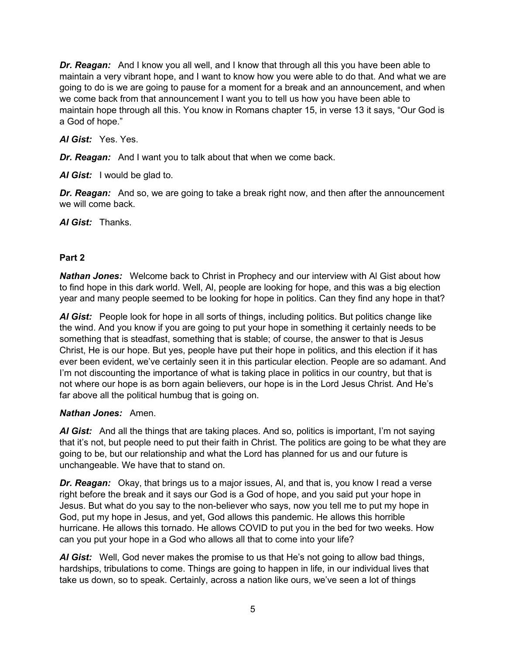*Dr. Reagan:* And I know you all well, and I know that through all this you have been able to maintain a very vibrant hope, and I want to know how you were able to do that. And what we are going to do is we are going to pause for a moment for a break and an announcement, and when we come back from that announcement I want you to tell us how you have been able to maintain hope through all this. You know in Romans chapter 15, in verse 13 it says, "Our God is a God of hope."

### *Al Gist:* Yes. Yes.

*Dr. Reagan:* And I want you to talk about that when we come back.

*Al Gist:* I would be glad to.

*Dr. Reagan:* And so, we are going to take a break right now, and then after the announcement we will come back.

*Al Gist:* Thanks.

### **Part 2**

*Nathan Jones:* Welcome back to Christ in Prophecy and our interview with Al Gist about how to find hope in this dark world. Well, Al, people are looking for hope, and this was a big election year and many people seemed to be looking for hope in politics. Can they find any hope in that?

*Al Gist:* People look for hope in all sorts of things, including politics. But politics change like the wind. And you know if you are going to put your hope in something it certainly needs to be something that is steadfast, something that is stable; of course, the answer to that is Jesus Christ, He is our hope. But yes, people have put their hope in politics, and this election if it has ever been evident, we've certainly seen it in this particular election. People are so adamant. And I'm not discounting the importance of what is taking place in politics in our country, but that is not where our hope is as born again believers, our hope is in the Lord Jesus Christ. And He's far above all the political humbug that is going on.

### *Nathan Jones:* Amen.

*Al Gist:* And all the things that are taking places. And so, politics is important, I'm not saying that it's not, but people need to put their faith in Christ. The politics are going to be what they are going to be, but our relationship and what the Lord has planned for us and our future is unchangeable. We have that to stand on.

*Dr. Reagan:* Okay, that brings us to a major issues, Al, and that is, you know I read a verse right before the break and it says our God is a God of hope, and you said put your hope in Jesus. But what do you say to the non-believer who says, now you tell me to put my hope in God, put my hope in Jesus, and yet, God allows this pandemic. He allows this horrible hurricane. He allows this tornado. He allows COVID to put you in the bed for two weeks. How can you put your hope in a God who allows all that to come into your life?

*Al Gist:* Well, God never makes the promise to us that He's not going to allow bad things, hardships, tribulations to come. Things are going to happen in life, in our individual lives that take us down, so to speak. Certainly, across a nation like ours, we've seen a lot of things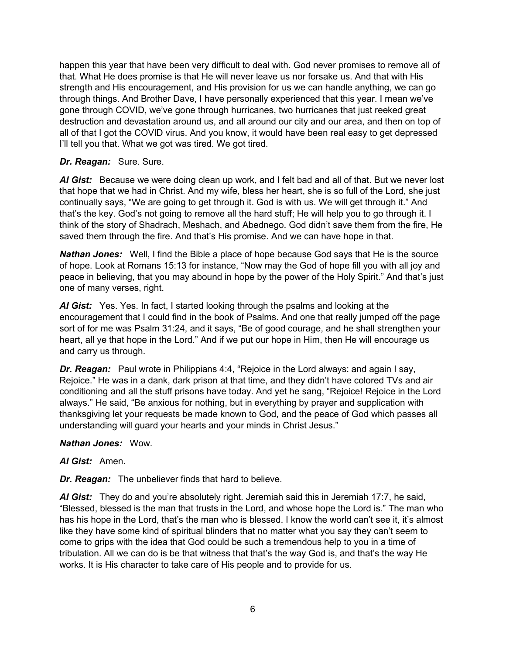happen this year that have been very difficult to deal with. God never promises to remove all of that. What He does promise is that He will never leave us nor forsake us. And that with His strength and His encouragement, and His provision for us we can handle anything, we can go through things. And Brother Dave, I have personally experienced that this year. I mean we've gone through COVID, we've gone through hurricanes, two hurricanes that just reeked great destruction and devastation around us, and all around our city and our area, and then on top of all of that I got the COVID virus. And you know, it would have been real easy to get depressed I'll tell you that. What we got was tired. We got tired.

### *Dr. Reagan:* Sure. Sure.

*Al Gist:* Because we were doing clean up work, and I felt bad and all of that. But we never lost that hope that we had in Christ. And my wife, bless her heart, she is so full of the Lord, she just continually says, "We are going to get through it. God is with us. We will get through it." And that's the key. God's not going to remove all the hard stuff; He will help you to go through it. I think of the story of Shadrach, Meshach, and Abednego. God didn't save them from the fire, He saved them through the fire. And that's His promise. And we can have hope in that.

*Nathan Jones:* Well, I find the Bible a place of hope because God says that He is the source of hope. Look at Romans 15:13 for instance, "Now may the God of hope fill you with all joy and peace in believing, that you may abound in hope by the power of the Holy Spirit." And that's just one of many verses, right.

*Al Gist:* Yes. Yes. In fact, I started looking through the psalms and looking at the encouragement that I could find in the book of Psalms. And one that really jumped off the page sort of for me was Psalm 31:24, and it says, "Be of good courage, and he shall strengthen your heart, all ye that hope in the Lord." And if we put our hope in Him, then He will encourage us and carry us through.

*Dr. Reagan:* Paul wrote in Philippians 4:4, "Rejoice in the Lord always: and again I say, Rejoice." He was in a dank, dark prison at that time, and they didn't have colored TVs and air conditioning and all the stuff prisons have today. And yet he sang, "Rejoice! Rejoice in the Lord always." He said, "Be anxious for nothing, but in everything by prayer and supplication with thanksgiving let your requests be made known to God, and the peace of God which passes all understanding will guard your hearts and your minds in Christ Jesus."

#### *Nathan Jones:* Wow.

#### *Al Gist:* Amen.

*Dr. Reagan:* The unbeliever finds that hard to believe.

*Al Gist:* They do and you're absolutely right. Jeremiah said this in Jeremiah 17:7, he said, "Blessed, blessed is the man that trusts in the Lord, and whose hope the Lord is." The man who has his hope in the Lord, that's the man who is blessed. I know the world can't see it, it's almost like they have some kind of spiritual blinders that no matter what you say they can't seem to come to grips with the idea that God could be such a tremendous help to you in a time of tribulation. All we can do is be that witness that that's the way God is, and that's the way He works. It is His character to take care of His people and to provide for us.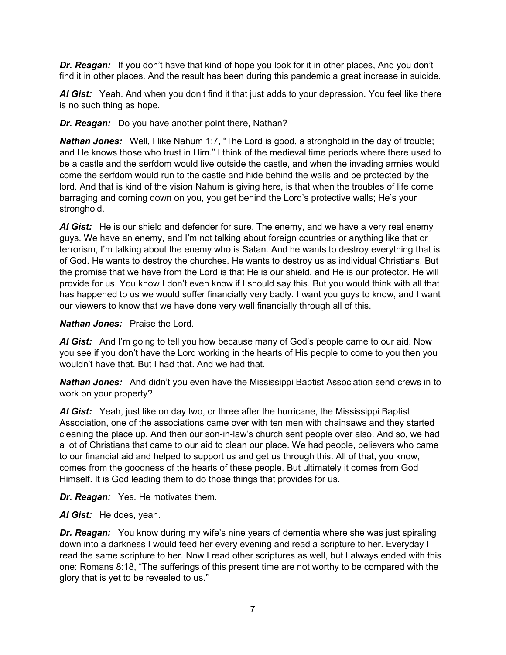*Dr. Reagan:* If you don't have that kind of hope you look for it in other places, And you don't find it in other places. And the result has been during this pandemic a great increase in suicide.

*Al Gist:* Yeah. And when you don't find it that just adds to your depression. You feel like there is no such thing as hope.

*Dr. Reagan:* Do you have another point there, Nathan?

*Nathan Jones:* Well, I like Nahum 1:7, "The Lord is good, a stronghold in the day of trouble; and He knows those who trust in Him." I think of the medieval time periods where there used to be a castle and the serfdom would live outside the castle, and when the invading armies would come the serfdom would run to the castle and hide behind the walls and be protected by the lord. And that is kind of the vision Nahum is giving here, is that when the troubles of life come barraging and coming down on you, you get behind the Lord's protective walls; He's your stronghold.

*Al Gist:* He is our shield and defender for sure. The enemy, and we have a very real enemy guys. We have an enemy, and I'm not talking about foreign countries or anything like that or terrorism, I'm talking about the enemy who is Satan. And he wants to destroy everything that is of God. He wants to destroy the churches. He wants to destroy us as individual Christians. But the promise that we have from the Lord is that He is our shield, and He is our protector. He will provide for us. You know I don't even know if I should say this. But you would think with all that has happened to us we would suffer financially very badly. I want you guys to know, and I want our viewers to know that we have done very well financially through all of this.

*Nathan Jones:* Praise the Lord.

*Al Gist:* And I'm going to tell you how because many of God's people came to our aid. Now you see if you don't have the Lord working in the hearts of His people to come to you then you wouldn't have that. But I had that. And we had that.

*Nathan Jones:* And didn't you even have the Mississippi Baptist Association send crews in to work on your property?

*Al Gist:* Yeah, just like on day two, or three after the hurricane, the Mississippi Baptist Association, one of the associations came over with ten men with chainsaws and they started cleaning the place up. And then our son-in-law's church sent people over also. And so, we had a lot of Christians that came to our aid to clean our place. We had people, believers who came to our financial aid and helped to support us and get us through this. All of that, you know, comes from the goodness of the hearts of these people. But ultimately it comes from God Himself. It is God leading them to do those things that provides for us.

*Dr. Reagan:* Yes. He motivates them.

*Al Gist:* He does, yeah.

*Dr. Reagan:* You know during my wife's nine years of dementia where she was just spiraling down into a darkness I would feed her every evening and read a scripture to her. Everyday I read the same scripture to her. Now I read other scriptures as well, but I always ended with this one: Romans 8:18, "The sufferings of this present time are not worthy to be compared with the glory that is yet to be revealed to us."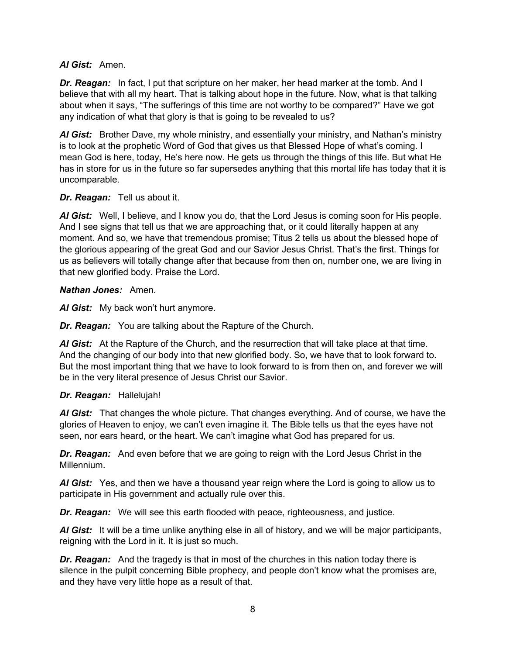### *Al Gist:* Amen.

*Dr. Reagan:* In fact, I put that scripture on her maker, her head marker at the tomb. And I believe that with all my heart. That is talking about hope in the future. Now, what is that talking about when it says, "The sufferings of this time are not worthy to be compared?" Have we got any indication of what that glory is that is going to be revealed to us?

*Al Gist:* Brother Dave, my whole ministry, and essentially your ministry, and Nathan's ministry is to look at the prophetic Word of God that gives us that Blessed Hope of what's coming. I mean God is here, today, He's here now. He gets us through the things of this life. But what He has in store for us in the future so far supersedes anything that this mortal life has today that it is uncomparable.

### *Dr. Reagan:* Tell us about it.

*Al Gist:* Well, I believe, and I know you do, that the Lord Jesus is coming soon for His people. And I see signs that tell us that we are approaching that, or it could literally happen at any moment. And so, we have that tremendous promise; Titus 2 tells us about the blessed hope of the glorious appearing of the great God and our Savior Jesus Christ. That's the first. Things for us as believers will totally change after that because from then on, number one, we are living in that new glorified body. Praise the Lord.

#### *Nathan Jones:* Amen.

*Al Gist:* My back won't hurt anymore.

*Dr. Reagan:* You are talking about the Rapture of the Church.

*Al Gist:* At the Rapture of the Church, and the resurrection that will take place at that time. And the changing of our body into that new glorified body. So, we have that to look forward to. But the most important thing that we have to look forward to is from then on, and forever we will be in the very literal presence of Jesus Christ our Savior.

### *Dr. Reagan:* Hallelujah!

*Al Gist:* That changes the whole picture. That changes everything. And of course, we have the glories of Heaven to enjoy, we can't even imagine it. The Bible tells us that the eyes have not seen, nor ears heard, or the heart. We can't imagine what God has prepared for us.

*Dr. Reagan:* And even before that we are going to reign with the Lord Jesus Christ in the Millennium.

*Al Gist:* Yes, and then we have a thousand year reign where the Lord is going to allow us to participate in His government and actually rule over this.

*Dr. Reagan:* We will see this earth flooded with peace, righteousness, and justice.

*Al Gist:* It will be a time unlike anything else in all of history, and we will be major participants, reigning with the Lord in it. It is just so much.

**Dr. Reagan:** And the tragedy is that in most of the churches in this nation today there is silence in the pulpit concerning Bible prophecy, and people don't know what the promises are, and they have very little hope as a result of that.